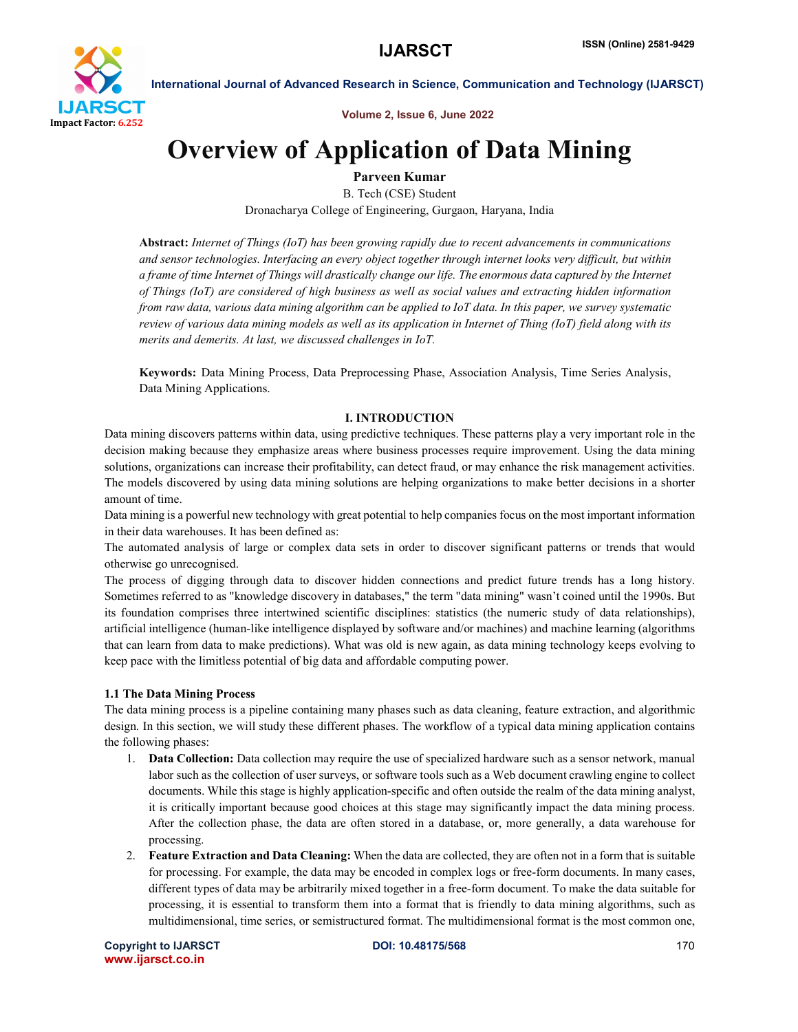

Volume 2, Issue 6, June 2022

# Overview of Application of Data Mining

Parveen Kumar

B. Tech (CSE) Student Dronacharya College of Engineering, Gurgaon, Haryana, India

Abstract: *Internet of Things (IoT) has been growing rapidly due to recent advancements in communications and sensor technologies. Interfacing an every object together through internet looks very difficult, but within a frame of time Internet of Things will drastically change our life. The enormous data captured by the Internet of Things (IoT) are considered of high business as well as social values and extracting hidden information*  from raw data, various data mining algorithm can be applied to IoT data. In this paper, we survey systematic review of various data mining models as well as its application in Internet of Thing (IoT) field along with its *merits and demerits. At last, we discussed challenges in IoT.*

Keywords: Data Mining Process, Data Preprocessing Phase, Association Analysis, Time Series Analysis, Data Mining Applications.

# I. INTRODUCTION

Data mining discovers patterns within data, using predictive techniques. These patterns play a very important role in the decision making because they emphasize areas where business processes require improvement. Using the data mining solutions, organizations can increase their profitability, can detect fraud, or may enhance the risk management activities. The models discovered by using data mining solutions are helping organizations to make better decisions in a shorter amount of time.

Data mining is a powerful new technology with great potential to help companies focus on the most important information in their data warehouses. It has been defined as:

The automated analysis of large or complex data sets in order to discover significant patterns or trends that would otherwise go unrecognised.

The process of digging through data to discover hidden connections and predict future trends has a long history. Sometimes referred to as "knowledge discovery in databases," the term "data mining" wasn't coined until the 1990s. But its foundation comprises three intertwined scientific disciplines: statistics (the numeric study of data relationships), artificial intelligence (human-like intelligence displayed by software and/or machines) and machine learning (algorithms that can learn from data to make predictions). What was old is new again, as data mining technology keeps evolving to keep pace with the limitless potential of big data and affordable computing power.

# 1.1 The Data Mining Process

The data mining process is a pipeline containing many phases such as data cleaning, feature extraction, and algorithmic design. In this section, we will study these different phases. The workflow of a typical data mining application contains the following phases:

- 1. Data Collection: Data collection may require the use of specialized hardware such as a sensor network, manual labor such as the collection of user surveys, or software tools such as a Web document crawling engine to collect documents. While this stage is highly application-specific and often outside the realm of the data mining analyst, it is critically important because good choices at this stage may significantly impact the data mining process. After the collection phase, the data are often stored in a database, or, more generally, a data warehouse for processing.
- 2. Feature Extraction and Data Cleaning: When the data are collected, they are often not in a form that is suitable for processing. For example, the data may be encoded in complex logs or free-form documents. In many cases, different types of data may be arbitrarily mixed together in a free-form document. To make the data suitable for processing, it is essential to transform them into a format that is friendly to data mining algorithms, such as multidimensional, time series, or semistructured format. The multidimensional format is the most common one,

Copyright to IJARSCT **DOI: 10.48175/568** 170 www.ijarsct.co.in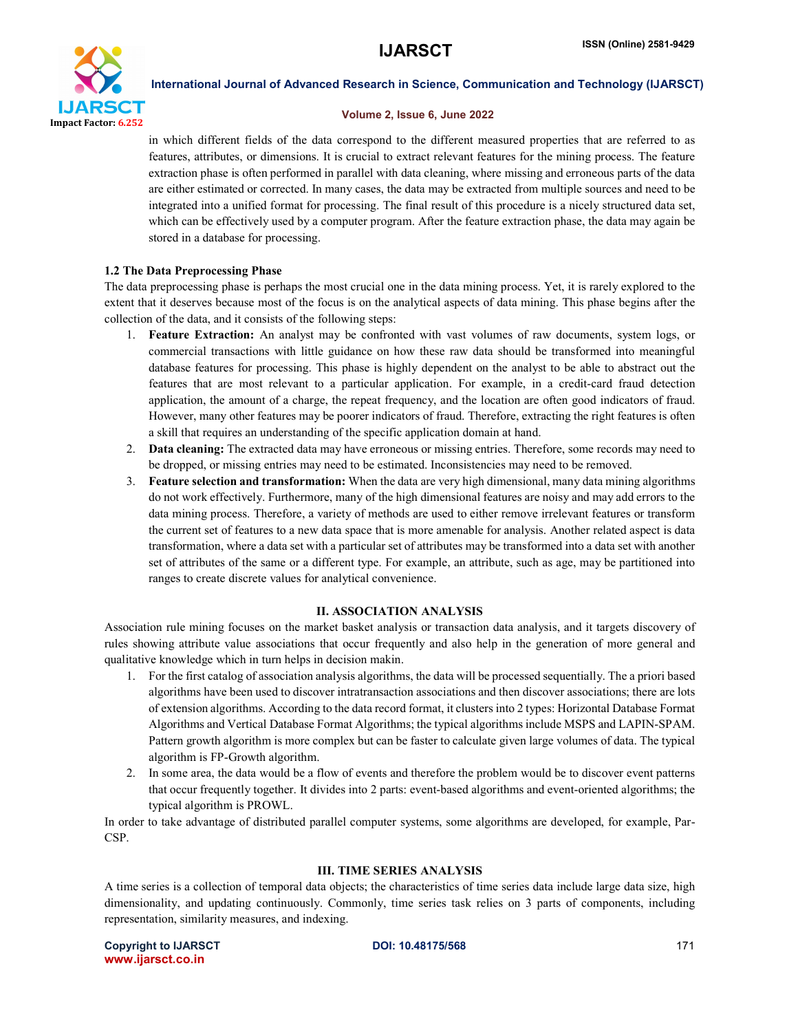

#### Volume 2, Issue 6, June 2022

in which different fields of the data correspond to the different measured properties that are referred to as features, attributes, or dimensions. It is crucial to extract relevant features for the mining process. The feature extraction phase is often performed in parallel with data cleaning, where missing and erroneous parts of the data are either estimated or corrected. In many cases, the data may be extracted from multiple sources and need to be integrated into a unified format for processing. The final result of this procedure is a nicely structured data set, which can be effectively used by a computer program. After the feature extraction phase, the data may again be stored in a database for processing.

## 1.2 The Data Preprocessing Phase

The data preprocessing phase is perhaps the most crucial one in the data mining process. Yet, it is rarely explored to the extent that it deserves because most of the focus is on the analytical aspects of data mining. This phase begins after the collection of the data, and it consists of the following steps:

- 1. Feature Extraction: An analyst may be confronted with vast volumes of raw documents, system logs, or commercial transactions with little guidance on how these raw data should be transformed into meaningful database features for processing. This phase is highly dependent on the analyst to be able to abstract out the features that are most relevant to a particular application. For example, in a credit-card fraud detection application, the amount of a charge, the repeat frequency, and the location are often good indicators of fraud. However, many other features may be poorer indicators of fraud. Therefore, extracting the right features is often a skill that requires an understanding of the specific application domain at hand.
- 2. Data cleaning: The extracted data may have erroneous or missing entries. Therefore, some records may need to be dropped, or missing entries may need to be estimated. Inconsistencies may need to be removed.
- 3. Feature selection and transformation: When the data are very high dimensional, many data mining algorithms do not work effectively. Furthermore, many of the high dimensional features are noisy and may add errors to the data mining process. Therefore, a variety of methods are used to either remove irrelevant features or transform the current set of features to a new data space that is more amenable for analysis. Another related aspect is data transformation, where a data set with a particular set of attributes may be transformed into a data set with another set of attributes of the same or a different type. For example, an attribute, such as age, may be partitioned into ranges to create discrete values for analytical convenience.

#### II. ASSOCIATION ANALYSIS

Association rule mining focuses on the market basket analysis or transaction data analysis, and it targets discovery of rules showing attribute value associations that occur frequently and also help in the generation of more general and qualitative knowledge which in turn helps in decision makin.

- 1. For the first catalog of association analysis algorithms, the data will be processed sequentially. The a priori based algorithms have been used to discover intratransaction associations and then discover associations; there are lots of extension algorithms. According to the data record format, it clusters into 2 types: Horizontal Database Format Algorithms and Vertical Database Format Algorithms; the typical algorithms include MSPS and LAPIN-SPAM. Pattern growth algorithm is more complex but can be faster to calculate given large volumes of data. The typical algorithm is FP-Growth algorithm.
- 2. In some area, the data would be a flow of events and therefore the problem would be to discover event patterns that occur frequently together. It divides into 2 parts: event-based algorithms and event-oriented algorithms; the typical algorithm is PROWL.

In order to take advantage of distributed parallel computer systems, some algorithms are developed, for example, Par-CSP.

# III. TIME SERIES ANALYSIS

A time series is a collection of temporal data objects; the characteristics of time series data include large data size, high dimensionality, and updating continuously. Commonly, time series task relies on 3 parts of components, including representation, similarity measures, and indexing.

Copyright to IJARSCT **DOI: 10.48175/568** 171 www.ijarsct.co.in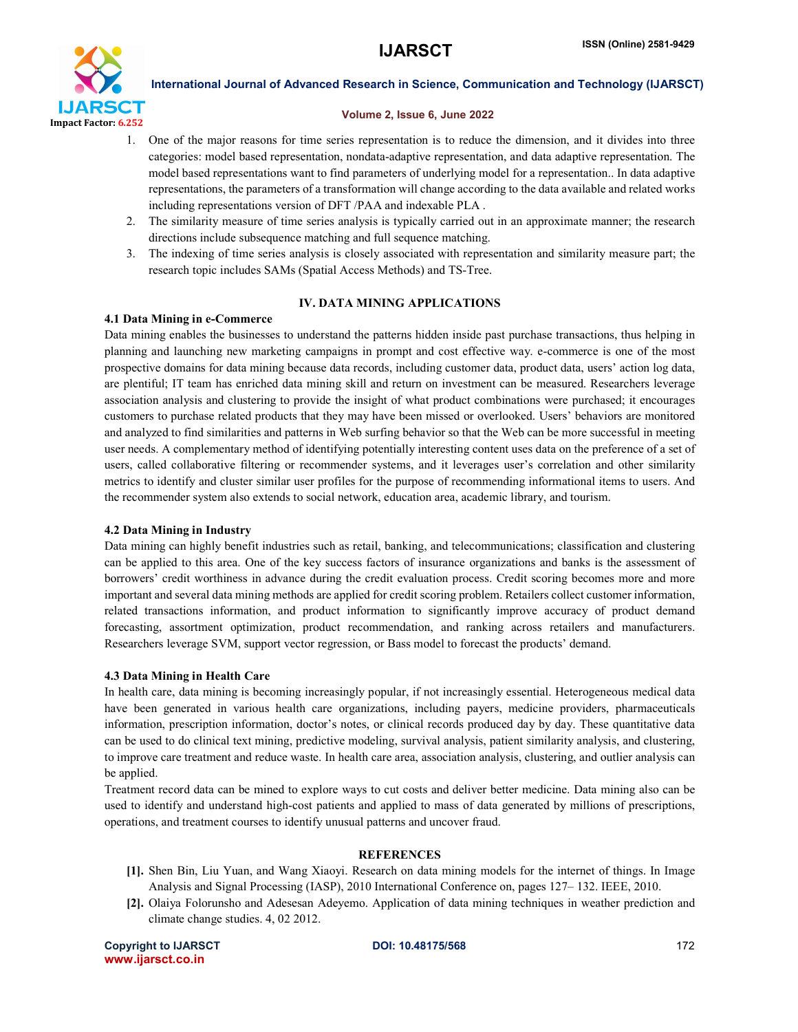

#### Volume 2, Issue 6, June 2022

- 1. One of the major reasons for time series representation is to reduce the dimension, and it divides into three categories: model based representation, nondata-adaptive representation, and data adaptive representation. The model based representations want to find parameters of underlying model for a representation.. In data adaptive representations, the parameters of a transformation will change according to the data available and related works including representations version of DFT /PAA and indexable PLA .
- 2. The similarity measure of time series analysis is typically carried out in an approximate manner; the research directions include subsequence matching and full sequence matching.
- 3. The indexing of time series analysis is closely associated with representation and similarity measure part; the research topic includes SAMs (Spatial Access Methods) and TS-Tree.

#### IV. DATA MINING APPLICATIONS

#### 4.1 Data Mining in e-Commerce

Data mining enables the businesses to understand the patterns hidden inside past purchase transactions, thus helping in planning and launching new marketing campaigns in prompt and cost effective way. e-commerce is one of the most prospective domains for data mining because data records, including customer data, product data, users' action log data, are plentiful; IT team has enriched data mining skill and return on investment can be measured. Researchers leverage association analysis and clustering to provide the insight of what product combinations were purchased; it encourages customers to purchase related products that they may have been missed or overlooked. Users' behaviors are monitored and analyzed to find similarities and patterns in Web surfing behavior so that the Web can be more successful in meeting user needs. A complementary method of identifying potentially interesting content uses data on the preference of a set of users, called collaborative filtering or recommender systems, and it leverages user's correlation and other similarity metrics to identify and cluster similar user profiles for the purpose of recommending informational items to users. And the recommender system also extends to social network, education area, academic library, and tourism.

## 4.2 Data Mining in Industry

Data mining can highly benefit industries such as retail, banking, and telecommunications; classification and clustering can be applied to this area. One of the key success factors of insurance organizations and banks is the assessment of borrowers' credit worthiness in advance during the credit evaluation process. Credit scoring becomes more and more important and several data mining methods are applied for credit scoring problem. Retailers collect customer information, related transactions information, and product information to significantly improve accuracy of product demand forecasting, assortment optimization, product recommendation, and ranking across retailers and manufacturers. Researchers leverage SVM, support vector regression, or Bass model to forecast the products' demand.

# 4.3 Data Mining in Health Care

In health care, data mining is becoming increasingly popular, if not increasingly essential. Heterogeneous medical data have been generated in various health care organizations, including payers, medicine providers, pharmaceuticals information, prescription information, doctor's notes, or clinical records produced day by day. These quantitative data can be used to do clinical text mining, predictive modeling, survival analysis, patient similarity analysis, and clustering, to improve care treatment and reduce waste. In health care area, association analysis, clustering, and outlier analysis can be applied.

Treatment record data can be mined to explore ways to cut costs and deliver better medicine. Data mining also can be used to identify and understand high-cost patients and applied to mass of data generated by millions of prescriptions, operations, and treatment courses to identify unusual patterns and uncover fraud.

# **REFERENCES**

- [1]. Shen Bin, Liu Yuan, and Wang Xiaoyi. Research on data mining models for the internet of things. In Image Analysis and Signal Processing (IASP), 2010 International Conference on, pages 127– 132. IEEE, 2010.
- [2]. Olaiya Folorunsho and Adesesan Adeyemo. Application of data mining techniques in weather prediction and climate change studies. 4, 02 2012.

Copyright to IJARSCT **DOI: 10.48175/568** 172 www.ijarsct.co.in